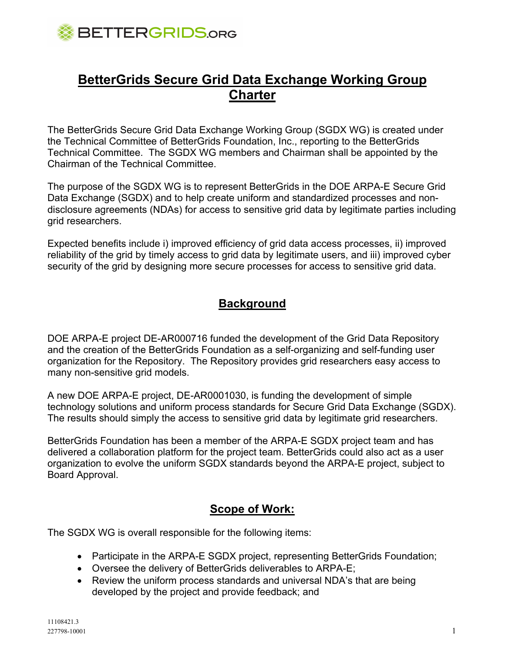

# **BetterGrids Secure Grid Data Exchange Working Group Charter**

The BetterGrids Secure Grid Data Exchange Working Group (SGDX WG) is created under the Technical Committee of BetterGrids Foundation, Inc., reporting to the BetterGrids Technical Committee. The SGDX WG members and Chairman shall be appointed by the Chairman of the Technical Committee.

The purpose of the SGDX WG is to represent BetterGrids in the DOE ARPA-E Secure Grid Data Exchange (SGDX) and to help create uniform and standardized processes and nondisclosure agreements (NDAs) for access to sensitive grid data by legitimate parties including grid researchers.

Expected benefits include i) improved efficiency of grid data access processes, ii) improved reliability of the grid by timely access to grid data by legitimate users, and iii) improved cyber security of the grid by designing more secure processes for access to sensitive grid data.

### **Background**

DOE ARPA-E project DE-AR000716 funded the development of the Grid Data Repository and the creation of the BetterGrids Foundation as a self-organizing and self-funding user organization for the Repository. The Repository provides grid researchers easy access to many non-sensitive grid models.

A new DOE ARPA-E project, DE-AR0001030, is funding the development of simple technology solutions and uniform process standards for Secure Grid Data Exchange (SGDX). The results should simply the access to sensitive grid data by legitimate grid researchers.

BetterGrids Foundation has been a member of the ARPA-E SGDX project team and has delivered a collaboration platform for the project team. BetterGrids could also act as a user organization to evolve the uniform SGDX standards beyond the ARPA-E project, subject to Board Approval.

## **Scope of Work:**

The SGDX WG is overall responsible for the following items:

- Participate in the ARPA-E SGDX project, representing BetterGrids Foundation;
- Oversee the delivery of BetterGrids deliverables to ARPA-E;
- Review the uniform process standards and universal NDA's that are being developed by the project and provide feedback; and